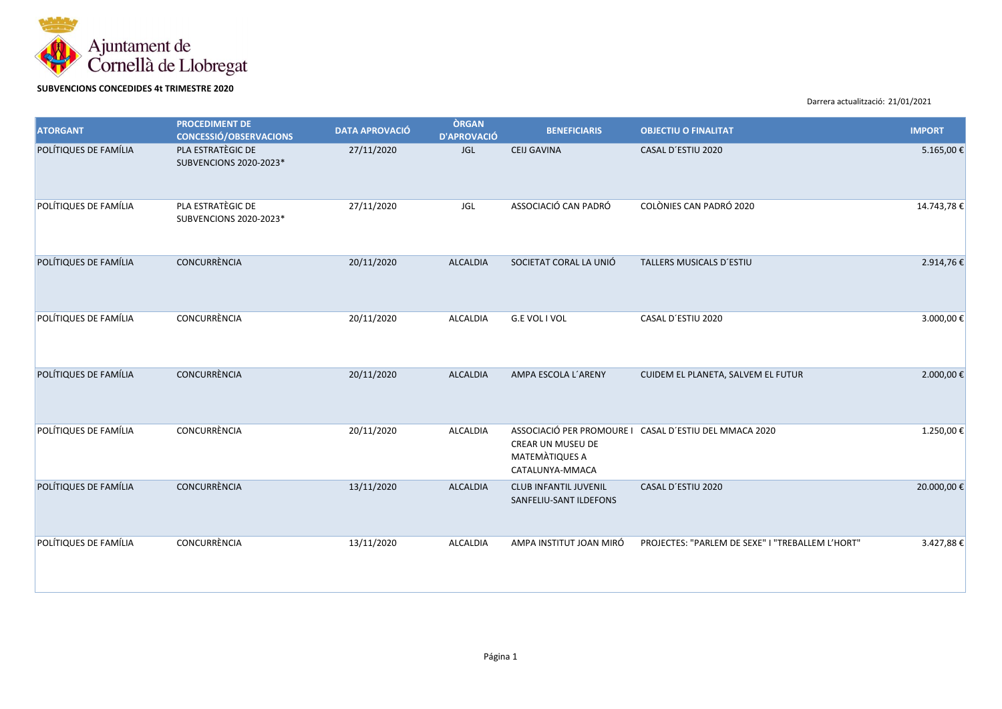

## **SUBVENCIONS CONCEDIDES 4t TRIMESTRE 2020**

Darrera actualització: 21/01/2021

| <b>ATORGANT</b>       | <b>PROCEDIMENT DE</b><br><b>CONCESSIÓ/OBSERVACIONS</b> | <b>DATA APROVACIÓ</b> | <b>ÒRGAN</b><br><b>D'APROVACIÓ</b> | <b>BENEFICIARIS</b>                                    | <b>OBJECTIU O FINALITAT</b>                            | <b>IMPORT</b> |
|-----------------------|--------------------------------------------------------|-----------------------|------------------------------------|--------------------------------------------------------|--------------------------------------------------------|---------------|
| POLÍTIQUES DE FAMÍLIA | PLA ESTRATÈGIC DE<br>SUBVENCIONS 2020-2023*            | 27/11/2020            | <b>JGL</b>                         | <b>CEIJ GAVINA</b>                                     | CASAL D'ESTIU 2020                                     | 5.165,00€     |
| POLÍTIQUES DE FAMÍLIA | PLA ESTRATÈGIC DE<br>SUBVENCIONS 2020-2023*            | 27/11/2020            | JGL                                | ASSOCIACIÓ CAN PADRÓ                                   | COLÒNIES CAN PADRÓ 2020                                | 14.743,78€    |
| POLÍTIQUES DE FAMÍLIA | CONCURRÈNCIA                                           | 20/11/2020            | <b>ALCALDIA</b>                    | SOCIETAT CORAL LA UNIÓ                                 | TALLERS MUSICALS D'ESTIU                               | 2.914,76€     |
| POLÍTIQUES DE FAMÍLIA | CONCURRÈNCIA                                           | 20/11/2020            | ALCALDIA                           | G.E VOL I VOL                                          | CASAL D'ESTIU 2020                                     | 3.000,00€     |
| POLÍTIQUES DE FAMÍLIA | CONCURRÈNCIA                                           | 20/11/2020            | <b>ALCALDIA</b>                    | AMPA ESCOLA L'ARENY                                    | CUIDEM EL PLANETA, SALVEM EL FUTUR                     | 2.000,00€     |
| POLÍTIQUES DE FAMÍLIA | CONCURRÈNCIA                                           | 20/11/2020            | ALCALDIA                           | CREAR UN MUSEU DE<br>MATEMATIQUES A<br>CATALUNYA-MMACA | ASSOCIACIÓ PER PROMOURE I CASAL D'ESTIU DEL MMACA 2020 | 1.250,00€     |
| POLÍTIQUES DE FAMÍLIA | CONCURRÈNCIA                                           | 13/11/2020            | <b>ALCALDIA</b>                    | <b>CLUB INFANTIL JUVENIL</b><br>SANFELIU-SANT ILDEFONS | CASAL D'ESTIU 2020                                     | 20.000,00€    |
| POLÍTIQUES DE FAMÍLIA | <b>CONCURRÈNCIA</b>                                    | 13/11/2020            | ALCALDIA                           | AMPA INSTITUT JOAN MIRÓ                                | PROJECTES: "PARLEM DE SEXE" I "TREBALLEM L'HORT"       | 3.427,88€     |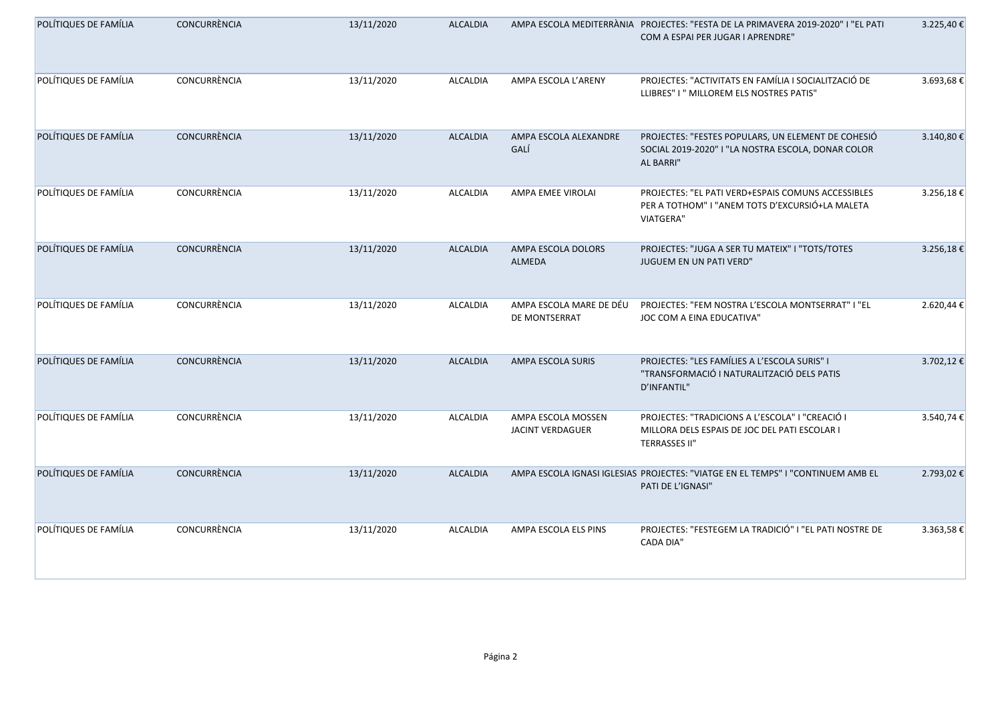| POLÍTIQUES DE FAMÍLIA | CONCURRÈNCIA | 13/11/2020 | <b>ALCALDIA</b> |                                               | AMPA ESCOLA MEDITERRÀNIA PROJECTES: "FESTA DE LA PRIMAVERA 2019-2020" I "EL PATI<br>COM A ESPAI PER JUGAR I APRENDRE"     | 3.225,40€ |
|-----------------------|--------------|------------|-----------------|-----------------------------------------------|---------------------------------------------------------------------------------------------------------------------------|-----------|
| POLÍTIQUES DE FAMÍLIA | CONCURRÈNCIA | 13/11/2020 | ALCALDIA        | AMPA ESCOLA L'ARENY                           | PROJECTES: "ACTIVITATS EN FAMÍLIA I SOCIALITZACIÓ DE<br>LLIBRES" I " MILLOREM ELS NOSTRES PATIS"                          | 3.693,68€ |
| POLÍTIQUES DE FAMÍLIA | CONCURRÈNCIA | 13/11/2020 | <b>ALCALDIA</b> | AMPA ESCOLA ALEXANDRE<br>GALÍ                 | PROJECTES: "FESTES POPULARS, UN ELEMENT DE COHESIÓ<br>SOCIAL 2019-2020" I "LA NOSTRA ESCOLA, DONAR COLOR<br>AL BARRI"     | 3.140,80€ |
| POLÍTIQUES DE FAMÍLIA | CONCURRÈNCIA | 13/11/2020 | ALCALDIA        | AMPA EMEE VIROLAI                             | PROJECTES: "EL PATI VERD+ESPAIS COMUNS ACCESSIBLES<br>PER A TOTHOM" I "ANEM TOTS D'EXCURSIÓ+LA MALETA<br><b>VIATGERA"</b> | 3.256,18€ |
| POLÍTIQUES DE FAMÍLIA | CONCURRÈNCIA | 13/11/2020 | <b>ALCALDIA</b> | AMPA ESCOLA DOLORS<br>ALMEDA                  | PROJECTES: "JUGA A SER TU MATEIX" I "TOTS/TOTES<br>JUGUEM EN UN PATI VERD"                                                | 3.256,18€ |
| POLÍTIQUES DE FAMÍLIA | CONCURRÈNCIA | 13/11/2020 | <b>ALCALDIA</b> | AMPA ESCOLA MARE DE DÉU<br>DE MONTSERRAT      | PROJECTES: "FEM NOSTRA L'ESCOLA MONTSERRAT" I "EL<br>JOC COM A EINA EDUCATIVA"                                            | 2.620,44€ |
| POLÍTIQUES DE FAMÍLIA | CONCURRÈNCIA | 13/11/2020 | <b>ALCALDIA</b> | AMPA ESCOLA SURIS                             | PROJECTES: "LES FAMÍLIES A L'ESCOLA SURIS" I<br>"TRANSFORMACIÓ I NATURALITZACIÓ DELS PATIS<br>D'INFANTIL"                 | 3.702,12€ |
| POLÍTIQUES DE FAMÍLIA | CONCURRÈNCIA | 13/11/2020 | <b>ALCALDIA</b> | AMPA ESCOLA MOSSEN<br><b>JACINT VERDAGUER</b> | PROJECTES: "TRADICIONS A L'ESCOLA" I "CREACIÓ I<br>MILLORA DELS ESPAIS DE JOC DEL PATI ESCOLAR I<br><b>TERRASSES II"</b>  | 3.540,74€ |
| POLÍTIQUES DE FAMÍLIA | CONCURRÈNCIA | 13/11/2020 | <b>ALCALDIA</b> |                                               | AMPA ESCOLA IGNASI IGLESIAS PROJECTES: "VIATGE EN EL TEMPS" I "CONTINUEM AMB EL<br>PATI DE L'IGNASI"                      | 2.793,02€ |
| POLÍTIQUES DE FAMÍLIA | CONCURRÈNCIA | 13/11/2020 | <b>ALCALDIA</b> | AMPA ESCOLA ELS PINS                          | PROJECTES: "FESTEGEM LA TRADICIÓ" I "EL PATI NOSTRE DE<br><b>CADA DIA"</b>                                                | 3.363,58€ |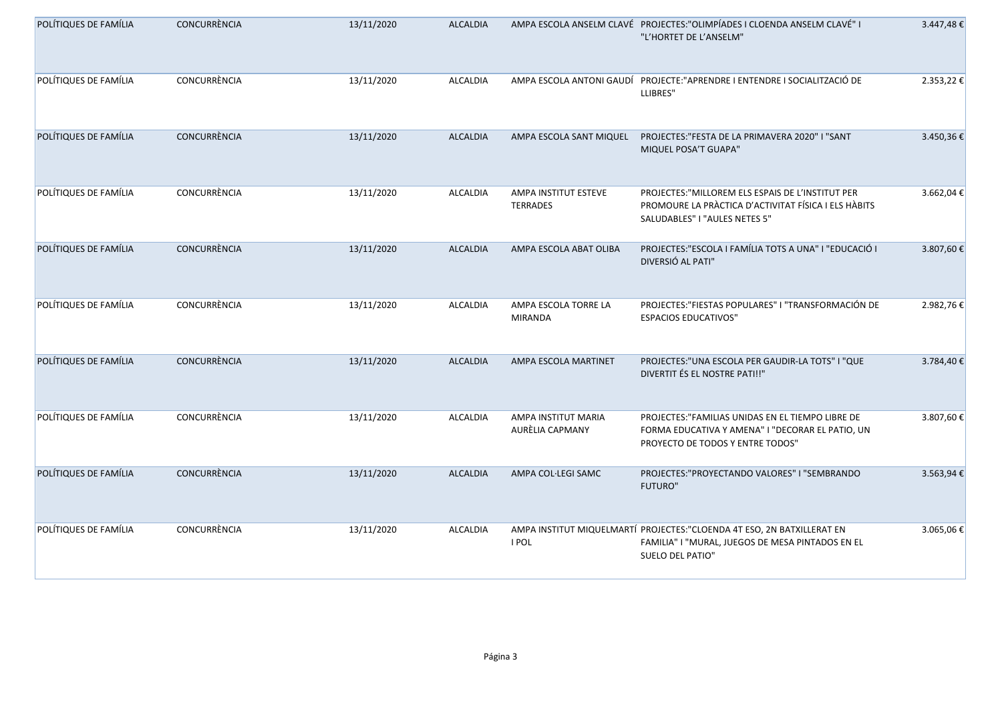| POLÍTIQUES DE FAMÍLIA | CONCURRÈNCIA        | 13/11/2020 | <b>ALCALDIA</b> |                                         | AMPA ESCOLA ANSELM CLAVÉ PROJECTES:"OLIMPÍADES I CLOENDA ANSELM CLAVÉ" I<br>"L'HORTET DE L'ANSELM"                                              | $3.447,48 \in$ |
|-----------------------|---------------------|------------|-----------------|-----------------------------------------|-------------------------------------------------------------------------------------------------------------------------------------------------|----------------|
| POLÍTIQUES DE FAMÍLIA | <b>CONCURRÈNCIA</b> | 13/11/2020 | ALCALDIA        |                                         | AMPA ESCOLA ANTONI GAUDÍ PROJECTE: "APRENDRE I ENTENDRE I SOCIALITZACIÓ DE<br>LLIBRES"                                                          | 2.353,22 €     |
| POLÍTIQUES DE FAMÍLIA | CONCURRÈNCIA        | 13/11/2020 | <b>ALCALDIA</b> | AMPA ESCOLA SANT MIQUEL                 | PROJECTES: "FESTA DE LA PRIMAVERA 2020" I "SANT<br>MIQUEL POSA'T GUAPA"                                                                         | 3.450,36€      |
| POLÍTIQUES DE FAMÍLIA | CONCURRÈNCIA        | 13/11/2020 | ALCALDIA        | AMPA INSTITUT ESTEVE<br><b>TERRADES</b> | PROJECTES:"MILLOREM ELS ESPAIS DE L'INSTITUT PER<br>PROMOURE LA PRÀCTICA D'ACTIVITAT FÍSICA I ELS HÀBITS<br>SALUDABLES" I "AULES NETES 5"       | 3.662,04€      |
| POLÍTIQUES DE FAMÍLIA | CONCURRÈNCIA        | 13/11/2020 | <b>ALCALDIA</b> | AMPA ESCOLA ABAT OLIBA                  | PROJECTES: "ESCOLA I FAMÍLIA TOTS A UNA" I "EDUCACIÓ I<br>DIVERSIÓ AL PATI"                                                                     | 3.807,60 €     |
| POLÍTIQUES DE FAMÍLIA | CONCURRÈNCIA        | 13/11/2020 | ALCALDIA        | AMPA ESCOLA TORRE LA<br><b>MIRANDA</b>  | PROJECTES: "FIESTAS POPULARES" I "TRANSFORMACIÓN DE<br><b>ESPACIOS EDUCATIVOS"</b>                                                              | 2.982,76€      |
| POLÍTIQUES DE FAMÍLIA | CONCURRÈNCIA        | 13/11/2020 | <b>ALCALDIA</b> | AMPA ESCOLA MARTINET                    | PROJECTES:"UNA ESCOLA PER GAUDIR-LA TOTS" I "QUE<br>DIVERTIT ÉS EL NOSTRE PATI!!"                                                               | 3.784,40 €     |
| POLÍTIQUES DE FAMÍLIA | CONCURRÈNCIA        | 13/11/2020 | <b>ALCALDIA</b> | AMPA INSTITUT MARIA<br>AURÈLIA CAPMANY  | PROJECTES:"FAMILIAS UNIDAS EN EL TIEMPO LIBRE DE<br>FORMA EDUCATIVA Y AMENA" I "DECORAR EL PATIO, UN<br>PROYECTO DE TODOS Y ENTRE TODOS"        | 3.807,60€      |
| POLÍTIQUES DE FAMÍLIA | <b>CONCURRÈNCIA</b> | 13/11/2020 | <b>ALCALDIA</b> | AMPA COL·LEGI SAMC                      | PROJECTES:"PROYECTANDO VALORES" I "SEMBRANDO<br><b>FUTURO"</b>                                                                                  | 3.563,94 €     |
| POLÍTIQUES DE FAMÍLIA | CONCURRÈNCIA        | 13/11/2020 | ALCALDIA        | I POL                                   | AMPA INSTITUT MIQUELMARTÍ PROJECTES: "CLOENDA 4T ESO, 2N BATXILLERAT EN<br>FAMILIA" I "MURAL, JUEGOS DE MESA PINTADOS EN EL<br>SUELO DEL PATIO" | 3.065,06 €     |